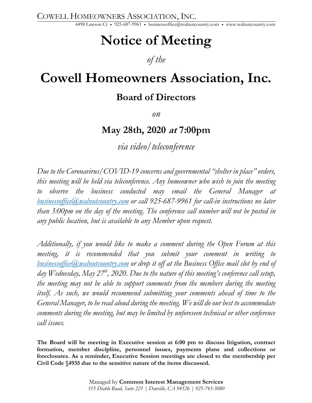COWELL HOMEOWNERS ASSOCIATION, INC.

4498 Lawson Ct • 925-687-9961 • businessoffice@walnutcountry.com • www.walnutcountry.com

# **Notice of Meeting**

## *of the*

## **Cowell Homeowners Association, Inc.**

## **Board of Directors**

*on*

## **May 28th, 2020 at 7:00pm**

*via video/teleconference*

*Due to the Coronavirus/COVID-19 concerns and governmental "shelter in place" orders, this meeting will be held via teleconference. Any homeowner who wish to join the meeting to observe the business conducted may email the General Manager at businessoffice@walnutcountry.com or call 925-687-9961 for call-in instructions no later than 3:00pm on the day of the meeting. The conference call number will not be posted in any public location, but is available to any Member upon request.*

*Additionally, if you would like to make a comment during the Open Forum at this meeting, it is recommended that you submit your comment in writing to businessoffice@walnutcountry.com or drop it off at the Business Office mail slot by end of*  day Wednesday, May 27<sup>th</sup>, 2020. Due to the nature of this meeting's conference call setup, *the meeting may not be able to support comments from the members during the meeting*  itself. As such, we would recommend submitting your comments ahead of time to the *General Manager, to be read aloud during the meeting. We will do our best to accommodate comments during the meeting, but may be limited by unforeseen technical or other conference call issues.*

**The Board will be meeting in Executive session at 6:00 pm to discuss litigation, contract formation, member discipline, personnel issues, payments plans and collections or foreclosures. As a reminder, Executive Session meetings are closed to the membership per Civil Code §4935 due to the sensitive nature of the items discussed.**